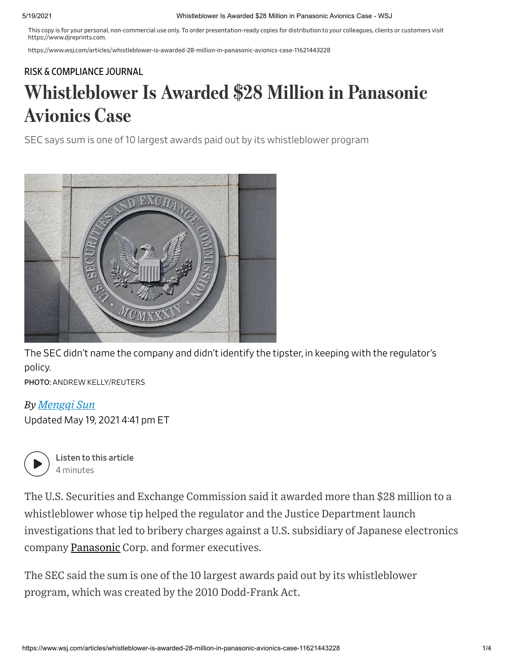#### 5/19/2021 Whistleblower Is Awarded \$28 Million in Panasonic Avionics Case - WSJ

This copy is for your personal, non-commercial use only. To order presentation-ready copies for distribution to your colleagues, clients or customers visit https://www.djreprints.com.

https://www.wsj.com/articles/whistleblower-is-awarded-28-million-in-panasonic-avionics-case-11621443228

#### RISK & [COMPLIANCE](https://www.wsj.com/news/types/risk-compliance-journal?mod=breadcrumb) JOURNAL

# Whistleblower Is Awarded \$28 Million in Panasonic Avionics Case

SEC says sum is one of 10 largest awards paid out by its whistleblower program



The SEC didn't name the company and didn't identify the tipster, in keeping with the regulator's policy.

PHOTO: ANDREW KELLY/REUTERS

### *By Mengqi Sun*

Updated May 19, 2021 4:41 pm ET



Listen to this article 4 minutes

The U.S. Securities and Exchange Commission said it awarded more than \$28 million to a whistleblower whose tip helped the regulator and the Justice Department launch investigations that led to bribery charges against a U.S. subsidiary of Japanese electronics company [Panasonic](https://www.wsj.com/market-data/quotes/PCRFY) Corp. and former executives.

The SEC said the sum is one of the 10 largest awards paid out by its whistleblower program, which was created by the 2010 Dodd-Frank Act.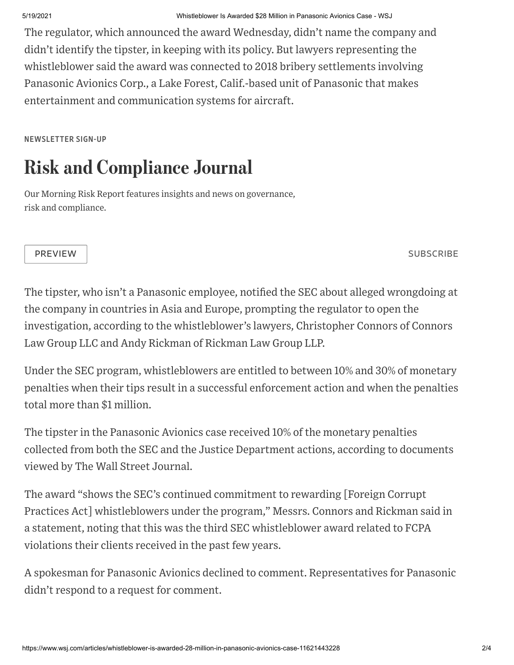The regulator, which announced the award Wednesday, didn't name the company and didn't identify the tipster, in keeping with its policy. But lawyers representing the whistleblower said the award was connected to 2018 bribery settlements involving Panasonic Avionics Corp., a Lake Forest, Calif.-based unit of Panasonic that makes entertainment and communication systems for aircraft.

NEWSLETTER SIGN-UP

## Risk and Compliance Journal

Our Morning Risk Report features insights and news on governance, risk and compliance.

PREVIEW SUBSCRIBE AND THE SUBSCRIBE AND THE SUBSCRIBE AND THE SUBSCRIBE AND THE SUBSCRIBE

The tipster, who isn't a Panasonic employee, notified the SEC about alleged wrongdoing at the company in countries in Asia and Europe, prompting the regulator to open the investigation, according to the whistleblower's lawyers, Christopher Connors of Connors Law Group LLC and Andy Rickman of Rickman Law Group LLP.

Under the SEC program, whistleblowers are entitled to between 10% and 30% of monetary penalties when their tips result in a successful enforcement action and when the penalties total more than \$1 million.

The tipster in the Panasonic Avionics case received 10% of the monetary penalties collected from both the SEC and the Justice Department actions, according to documents viewed by The Wall Street Journal.

The award "shows the SEC's continued commitment to rewarding [Foreign Corrupt Practices Act] whistleblowers under the program," Messrs. Connors and Rickman said in a statement, noting that this was the third SEC whistleblower award related to FCPA violations their clients received in the past few years.

A spokesman for Panasonic Avionics declined to comment. Representatives for Panasonic didn't respond to a request for comment.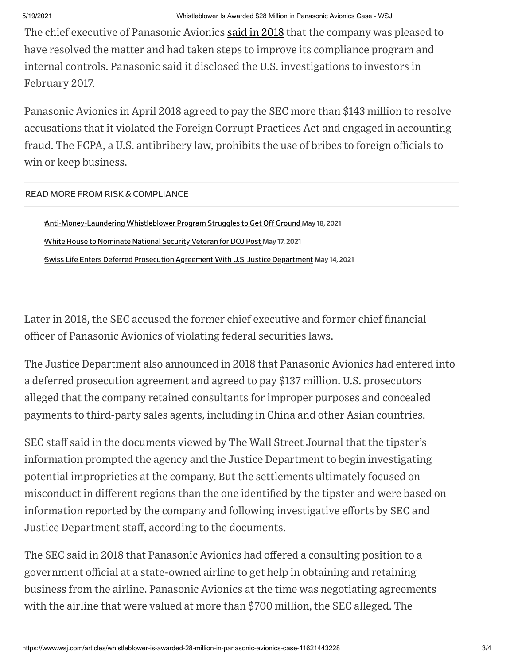The chief executive of Panasonic Avionics said in [2018](https://www.wsj.com/articles/panasonic-unit-admits-accounting-offense-1525116607?mod=article_inline) that the company was pleased to have resolved the matter and had taken steps to improve its compliance program and internal controls. Panasonic said it disclosed the U.S. investigations to investors in February 2017.

Panasonic Avionics in April 2018 agreed to pay the SEC more than \$143 million to resolve accusations that it violated the Foreign Corrupt Practices Act and engaged in accounting fraud. The FCPA, a U.S. antibribery law, prohibits the use of bribes to foreign officials to win or keep business.

READ MORE FROM RISK & COMPLIANCE

Anti-Money-Laundering Whistleblower Program Struggles to Get Off Ground May 18, 2021 •White House to [Nominate](https://www.wsj.com/articles/white-house-to-nominate-national-security-veteran-for-doj-post-11621284598?mod=article_relatedinline) National Security Veteran for DOJ Post May 17, 2021 •Swiss Life Enters Deferred Prosecution Agreement With U.S. Justice [Department](https://www.wsj.com/articles/swiss-life-enters-deferred-prosecution-agreement-with-u-s-justice-department-11621016613?mod=article_relatedinline) May 14, 2021

Later in 2018, the SEC accused the former chief executive and former chief financial officer of Panasonic Avionics of violating federal securities laws.

The Justice Department also announced in 2018 that Panasonic Avionics had entered into a deferred prosecution agreement and agreed to pay \$137 million. U.S. prosecutors alleged that the company retained consultants for improper purposes and concealed payments to third-party sales agents, including in China and other Asian countries.

SEC staff said in the documents viewed by The Wall Street Journal that the tipster's information prompted the agency and the Justice Department to begin investigating potential improprieties at the company. But the settlements ultimately focused on misconduct in different regions than the one identified by the tipster and were based on information reported by the company and following investigative efforts by SEC and Justice Department staff, according to the documents.

The SEC said in 2018 that Panasonic Avionics had offered a consulting position to a government official at a state-owned airline to get help in obtaining and retaining business from the airline. Panasonic Avionics at the time was negotiating agreements with the airline that were valued at more than \$700 million, the SEC alleged. The